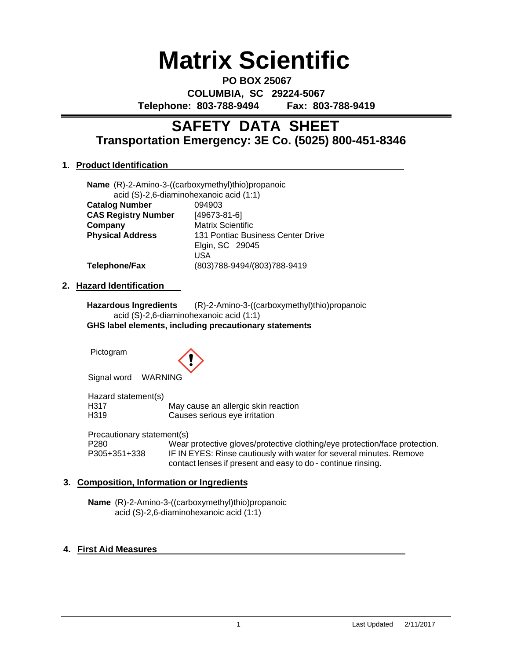# **Matrix Scientific**

**PO BOX 25067 COLUMBIA, SC 29224-5067 Telephone: 803-788-9494 Fax: 803-788-9419**

# **Transportation Emergency: 3E Co. (5025) 800-451-8346 SAFETY DATA SHEET**

# **1. Product Identification**

|                            | Name (R)-2-Amino-3-((carboxymethyl)thio)propanoic |
|----------------------------|---------------------------------------------------|
|                            | acid (S)-2,6-diaminohexanoic acid (1:1)           |
| <b>Catalog Number</b>      | 094903                                            |
| <b>CAS Registry Number</b> | $[49673-81-6]$                                    |
| Company                    | <b>Matrix Scientific</b>                          |
| <b>Physical Address</b>    | 131 Pontiac Business Center Drive                 |
|                            | Elgin, SC 29045                                   |
|                            | USA                                               |
| <b>Telephone/Fax</b>       | (803)788-9494/(803)788-9419                       |

# **2. Hazard Identification**

**Hazardous Ingredients** (R)-2-Amino-3-((carboxymethyl)thio)propanoic acid (S)-2,6-diaminohexanoic acid (1:1) **GHS label elements, including precautionary statements**

Pictogram



Signal word WARNING

Hazard statement(s) H317 May cause an allergic skin reaction<br>
H319 Causes serious eve irritation Causes serious eye irritation

Precautionary statement(s)

P280 Wear protective gloves/protective clothing/eye protection/face protection.<br>P305+351+338 IF IN EYES: Rinse cautiously with water for several minutes. Remove IF IN EYES: Rinse cautiously with water for several minutes. Remove contact lenses if present and easy to do - continue rinsing.

# **3. Composition, Information or Ingredients**

**Name** (R)-2-Amino-3-((carboxymethyl)thio)propanoic acid (S)-2,6-diaminohexanoic acid (1:1)

# **4. First Aid Measures**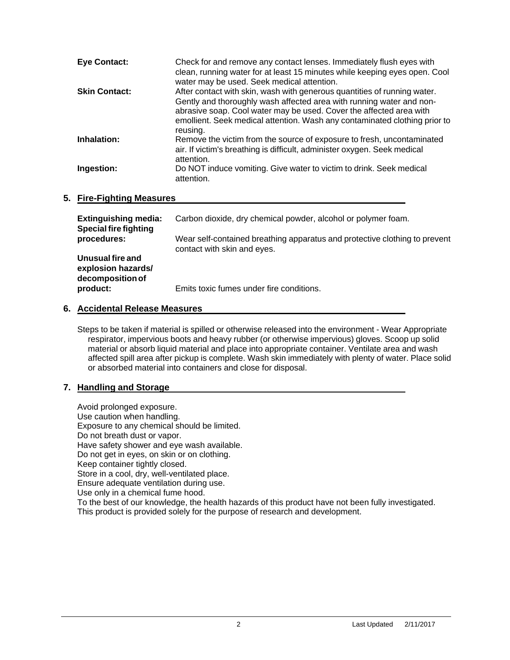| <b>Eye Contact:</b>  | Check for and remove any contact lenses. Immediately flush eyes with<br>clean, running water for at least 15 minutes while keeping eyes open. Cool<br>water may be used. Seek medical attention.                                                                                                                  |
|----------------------|-------------------------------------------------------------------------------------------------------------------------------------------------------------------------------------------------------------------------------------------------------------------------------------------------------------------|
| <b>Skin Contact:</b> | After contact with skin, wash with generous quantities of running water.<br>Gently and thoroughly wash affected area with running water and non-<br>abrasive soap. Cool water may be used. Cover the affected area with<br>emollient. Seek medical attention. Wash any contaminated clothing prior to<br>reusing. |
| Inhalation:          | Remove the victim from the source of exposure to fresh, uncontaminated<br>air. If victim's breathing is difficult, administer oxygen. Seek medical<br>attention.                                                                                                                                                  |
| Ingestion:           | Do NOT induce vomiting. Give water to victim to drink. Seek medical<br>attention.                                                                                                                                                                                                                                 |

# **5. Fire-Fighting Measures**

| <b>Extinguishing media:</b><br><b>Special fire fighting</b> | Carbon dioxide, dry chemical powder, alcohol or polymer foam.                                             |  |
|-------------------------------------------------------------|-----------------------------------------------------------------------------------------------------------|--|
| procedures:                                                 | Wear self-contained breathing apparatus and protective clothing to prevent<br>contact with skin and eyes. |  |
| Unusual fire and<br>explosion hazards/<br>decomposition of  |                                                                                                           |  |
| product:                                                    | Emits toxic fumes under fire conditions.                                                                  |  |

# **6. Accidental Release Measures**

Steps to be taken if material is spilled or otherwise released into the environment - Wear Appropriate respirator, impervious boots and heavy rubber (or otherwise impervious) gloves. Scoop up solid material or absorb liquid material and place into appropriate container. Ventilate area and wash affected spill area after pickup is complete. Wash skin immediately with plenty of water. Place solid or absorbed material into containers and close for disposal.

# **7. Handling and Storage**

Avoid prolonged exposure. Use caution when handling. Exposure to any chemical should be limited. Do not breath dust or vapor. Have safety shower and eye wash available. Do not get in eyes, on skin or on clothing. Keep container tightly closed. Store in a cool, dry, well-ventilated place. Ensure adequate ventilation during use. Use only in a chemical fume hood. To the best of our knowledge, the health hazards of this product have not been fully investigated. This product is provided solely for the purpose of research and development.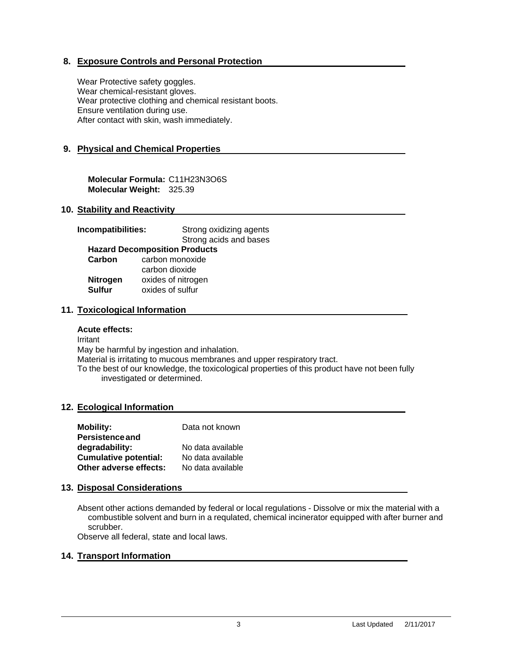# **8. Exposure Controls and Personal Protection**

Wear Protective safety goggles. Wear chemical-resistant gloves. Wear protective clothing and chemical resistant boots. Ensure ventilation during use. After contact with skin, wash immediately.

# **9. Physical and Chemical Properties**

**Molecular Formula:** C11H23N3O6S **Molecular Weight:** 325.39

# **10. Stability and Reactivity**

| Incompatibilities: | Strong oxidizing agents              |  |
|--------------------|--------------------------------------|--|
|                    | Strong acids and bases               |  |
|                    | <b>Hazard Decomposition Products</b> |  |
| Carbon             | carbon monoxide                      |  |
|                    | carbon dioxide                       |  |
| <b>Nitrogen</b>    | oxides of nitrogen                   |  |
| <b>Sulfur</b>      | oxides of sulfur                     |  |
|                    |                                      |  |

#### **11. Toxicological Information**

#### **Acute effects:**

Irritant May be harmful by ingestion and inhalation. Material is irritating to mucous membranes and upper respiratory tract. To the best of our knowledge, the toxicological properties of this product have not been fully investigated or determined.

#### **12. Ecological Information**

| <b>Mobility:</b>             | Data not known    |
|------------------------------|-------------------|
| <b>Persistence and</b>       |                   |
| degradability:               | No data available |
| <b>Cumulative potential:</b> | No data available |
| Other adverse effects:       | No data available |

#### **13. Disposal Considerations**

Absent other actions demanded by federal or local regulations - Dissolve or mix the material with a combustible solvent and burn in a requlated, chemical incinerator equipped with after burner and scrubber.

Observe all federal, state and local laws.

#### **14. Transport Information**